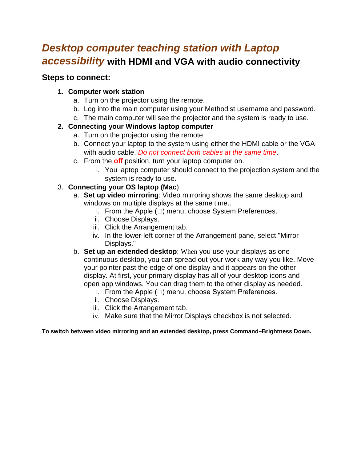# *Desktop computer teaching station with Laptop accessibility* **with HDMI and VGA with audio connectivity**

### **Steps to connect:**

#### **1. Computer work station**

- a. Turn on the projector using the remote.
- b. Log into the main computer using your Methodist username and password.
- c. The main computer will see the projector and the system is ready to use.

#### **2. Connecting your Windows laptop computer**

- a. Turn on the projector using the remote
- b. Connect your laptop to the system using either the HDMI cable or the VGA with audio cable. *Do not connect both cables at the same time*.
- c. From the **off** position, turn your laptop computer on.
	- i. You laptop computer should connect to the projection system and the system is ready to use.

#### 3. **Connecting your OS laptop (Mac**)

- a. **Set up video mirroring**: Video mirroring shows the same desktop and windows on multiple displays at the same time..
	- i. From the Apple  $(\Box)$  menu, choose System Preferences.
	- ii. Choose Displays.
	- iii. Click the Arrangement tab.
	- iv. In the lower-left corner of the Arrangement pane, select "Mirror Displays."
- b. **Set up an extended desktop**: When you use your displays as one continuous desktop, you can spread out your work any way you like. Move your pointer past the edge of one display and it appears on the other display. At first, your primary display has all of your desktop icons and open app windows. You can drag them to the other display as needed.
	- i. From the Apple  $(\Box)$  menu, choose System Preferences.
	- ii. Choose Displays.
	- iii. Click the Arrangement tab.
	- iv. Make sure that the Mirror Displays checkbox is not selected.

**To switch between video mirroring and an extended desktop, press Command–Brightness Down.**